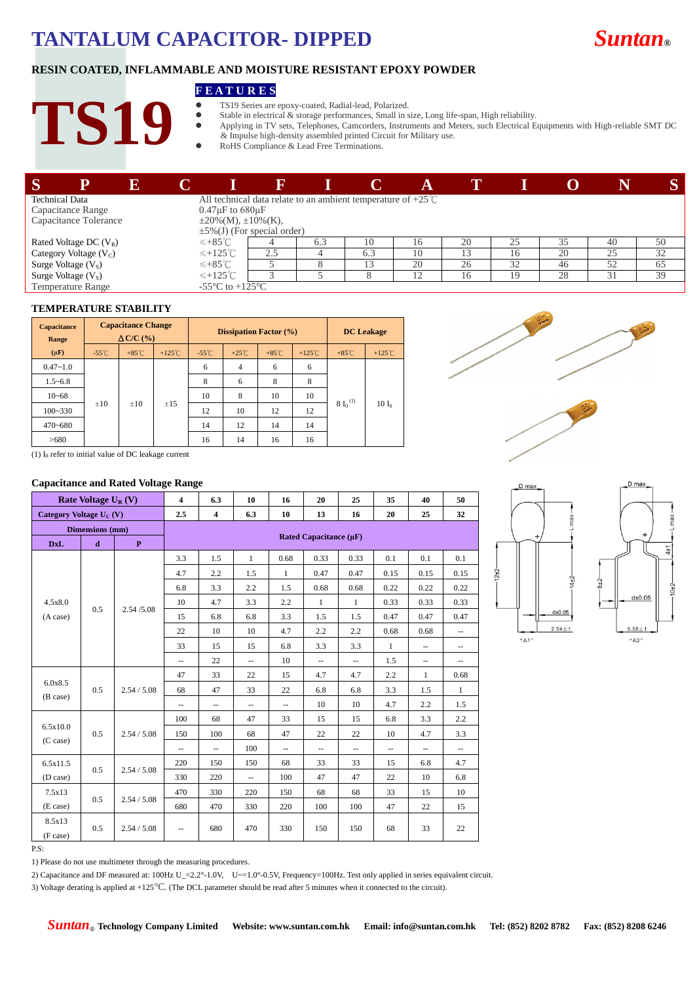# **TANTALUM CAPACITOR- DIPPED** *Suntan***®**



## **RESIN COATED, INFLAMMABLE AND MOISTURE RESISTANT EPOXY POWDER**

### **F E A T U R E S**

- TS19 Series are epoxy-coated, Radial-lead, Polarized.
- Stable in electrical & storage performances, Small in size, Long life-span, High reliability.<br>Applying in TV sets. Telephones. Camcorders. Instruments and Meters, such Electrical E
- Applying in TV sets, Telephones, Camcorders, Instruments and Meters, such Electrical Equipments with High-reliable SMT DC & Impulse high-density assembled printed Circuit for Military use.
	- RoHS Compliance & Lead Free Terminations.

| $\mathbf S$              | 13 |                             |                             |                                   |     |                                                                        |    |    |    |    |    | S  |
|--------------------------|----|-----------------------------|-----------------------------|-----------------------------------|-----|------------------------------------------------------------------------|----|----|----|----|----|----|
| <b>Technical Data</b>    |    |                             |                             |                                   |     | All technical data relate to an ambient temperature of $+25^{\circ}$ C |    |    |    |    |    |    |
| Capacitance Range        |    |                             | $0.47\mu$ F to 680 $\mu$ F  |                                   |     |                                                                        |    |    |    |    |    |    |
| Capacitance Tolerance    |    |                             | $\pm 20\%(M), \pm 10\%(K),$ |                                   |     |                                                                        |    |    |    |    |    |    |
|                          |    |                             |                             | $\pm 5\%$ (J) (For special order) |     |                                                                        |    |    |    |    |    |    |
| Rated Voltage DC $(V_R)$ |    | $≤+85^{\circ}$ C            |                             |                                   | 6.3 | 10                                                                     | 16 | 20 | 25 | 35 | 40 | 50 |
| Category Voltage (Vc)    |    |                             | $\leqslant$ +125°C          | 2.5                               |     | 6.3                                                                    | 10 | 3  | 16 | 20 | 25 | 32 |
| Surge Voltage $(VS)$     |    | $≤+85^{\circ}$ <sup>C</sup> |                             |                                   |     |                                                                        | 20 | 26 | 32 | 46 | 52 | 65 |
| Surge Voltage $(VS)$     |    |                             | $\leqslant$ +125°C          |                                   |     |                                                                        |    | 16 | 19 | 28 | 31 | 39 |
| Temperature Range        |    |                             | -55 °C to +125 °C           |                                   |     |                                                                        |    |    |    |    |    |    |

### **TEMPERATURE STABILITY**

**TS19**

| <b>Capacitance</b><br>Range | <b>Capacitance Change</b><br>$\triangle$ C/C $\left(\frac{9}{6}\right)$ |                 |                  | <b>Dissipation Factor</b> (%) |                 |                 |                  | <b>DC</b> Leakage |                  |
|-----------------------------|-------------------------------------------------------------------------|-----------------|------------------|-------------------------------|-----------------|-----------------|------------------|-------------------|------------------|
| $(\mu \mathbf{F})$          | $-55^{\circ}$ C                                                         | $+85^{\circ}$ C | $+125^{\circ}$ C | $-55^{\circ}$ C               | $+25^{\circ}$ C | $+85^{\circ}$ C | $+125^{\circ}$ C | $+85^{\circ}$ C   | $+125^{\circ}$ C |
| $0.47 - 1.0$                |                                                                         |                 | $\pm 15$         | 6                             | $\overline{4}$  | 6               | 6                | $8 L^{(1)}$       | $10 I_0$         |
| $1.5 - 6.8$                 |                                                                         |                 |                  | 8                             | 6               | 8               | 8                |                   |                  |
| $10 - 68$                   |                                                                         |                 |                  | 10                            | 8               | 10              | 10               |                   |                  |
| $100 - 330$                 | $\pm 10$                                                                | $\pm 10$        |                  | 12                            | 10              | 12              | 12               |                   |                  |
| $470 - 680$                 |                                                                         |                 |                  | 14                            | 12              | 14              | 14               |                   |                  |
| >680                        |                                                                         |                 |                  | 16                            | 14              | 16              | 16               |                   |                  |





(1)  $I_0$  refer to initial value of DC leakage current

### **Capacitance and Rated Voltage Range**

| Rate Voltage $U_R(V)$               |                    |                    | $\overline{\mathbf{4}}$  | 6.3                         | 10                       | 16                       | 20                       | 25                       | 35           | 40                       | 50                       |
|-------------------------------------|--------------------|--------------------|--------------------------|-----------------------------|--------------------------|--------------------------|--------------------------|--------------------------|--------------|--------------------------|--------------------------|
| Category Voltage U <sub>C</sub> (V) |                    |                    | 2.5                      | $\overline{\mathbf{4}}$     | 6.3                      | 10                       | 13                       | 16                       | 20           | 25                       | 32                       |
| Dimensions (mm)                     |                    |                    |                          |                             |                          |                          |                          |                          |              |                          |                          |
| <b>DxL</b>                          | $\mathbf d$        | $\mathbf{P}$       |                          | Rated Capacitance $(\mu F)$ |                          |                          |                          |                          |              |                          |                          |
|                                     |                    |                    | 3.3                      | 1.5                         | $\mathbf{1}$             | 0.68                     | 0.33                     | 0.33                     | 0.1          | 0.1                      | 0.1                      |
|                                     |                    |                    | 4.7                      | 2.2                         | 1.5                      | $\mathbf{1}$             | 0.47                     | 0.47                     | 0.15         | 0.15                     | 0.15                     |
|                                     |                    |                    | 6.8                      | 3.3                         | 2.2                      | 1.5                      | 0.68                     | 0.68                     | 0.22         | 0.22                     | 0.22                     |
| 4.5x8.0                             | 0.5                | 2.54/5.08          | 10                       | 4.7                         | 3.3                      | 2.2                      | $\mathbf{1}$             | $\mathbf{1}$             | 0.33         | 0.33                     | 0.33                     |
| (A case)                            |                    |                    | 15                       | 6.8                         | 6.8                      | 3.3                      | 1.5                      | 1.5                      | 0.47         | 0.47                     | 0.47                     |
|                                     |                    |                    | 22                       | 10                          | 10                       | 4.7                      | 2.2                      | 2.2                      | 0.68         | 0.68                     | $\overline{\phantom{m}}$ |
|                                     |                    |                    | 33                       | 15                          | 15                       | 6.8                      | 3.3                      | 3.3                      | $\mathbf{1}$ | $\overline{\phantom{m}}$ | $\overline{\phantom{a}}$ |
|                                     |                    |                    | $\overline{\phantom{a}}$ | 22                          | $\overline{\phantom{a}}$ | 10                       | $\qquad \qquad -$        | $\overline{\phantom{a}}$ | 1.5          | $\overline{\phantom{a}}$ | $\overline{\phantom{a}}$ |
|                                     |                    | 2.54 / 5.08        | 47                       | 33                          | 22                       | 15                       | 4.7                      | 4.7                      | 2.2          | 1                        | 0.68                     |
| 6.0x8.5<br>0.5<br>(B case)          |                    |                    | 68                       | 47                          | 33                       | 22                       | 6.8                      | 6.8                      | 3.3          | 1.5                      | $\mathbf{1}$             |
|                                     |                    |                    | $\overline{\phantom{a}}$ | $\overline{\phantom{a}}$    | $\overline{\phantom{a}}$ | $\overline{\phantom{a}}$ | 10                       | 10                       | 4.7          | 2.2                      | 1.5                      |
|                                     |                    |                    | 100                      | 68                          | 47                       | 33                       | 15                       | 15                       | 6.8          | 3.3                      | 2.2                      |
| 6.5x10.0                            | 0.5                | 2.54 / 5.08        | 150                      | 100                         | 68                       | 47                       | 22                       | 22                       | 10           | 4.7                      | 3.3                      |
| $(C \, case)$                       |                    |                    | $\overline{\phantom{a}}$ | $\overline{\phantom{a}}$    | 100                      | $\overline{\phantom{a}}$ | $\overline{\phantom{a}}$ | $\overline{\phantom{a}}$ | --           | $\overline{\phantom{m}}$ | $\overline{\phantom{m}}$ |
| 6.5x11.5                            | 0.5<br>2.54 / 5.08 |                    | 220                      | 150                         | 150                      | 68                       | 33                       | 33                       | 15           | 6.8                      | 4.7                      |
| (D case)                            |                    |                    | 330                      | 220                         | $\overline{\phantom{m}}$ | 100                      | 47                       | 47                       | 22           | 10                       | 6.8                      |
| 7.5x13                              |                    | 0.5<br>2.54 / 5.08 | 470                      | 330                         | 220                      | 150                      | 68                       | 68                       | 33           | 15                       | 10                       |
| (E case)                            |                    |                    | 680                      | 470                         | 330                      | 220                      | 100                      | 100                      | 47           | 22                       | 15                       |
| 8.5x13<br>(F case)                  | 0.5                | 2.54 / 5.08        | $\overline{\phantom{a}}$ | 680                         | 470                      | 330                      | 150                      | 150                      | 68           | 33                       | 22                       |



P.S:

1) Please do not use multimeter through the measuring procedures.

2) Capacitance and DF measured at: 100Hz U\_=2.2°-1.0V, U~=1.0°-0.5V, Frequency=100Hz. Test only applied in series equivalent circuit.

3) Voltage derating is applied at +125°C. (The DCL parameter should be read after 5 minutes when it connected to the circuit).